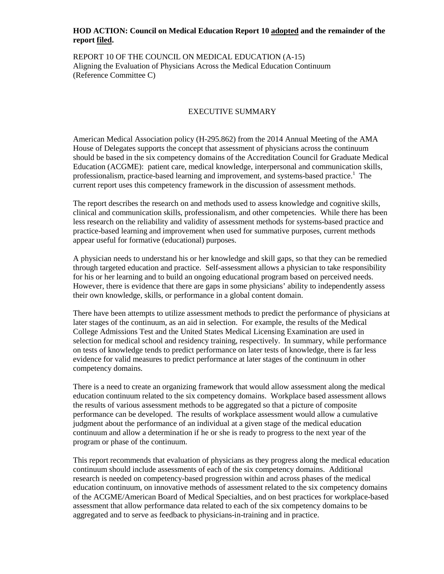#### **HOD ACTION: Council on Medical Education Report 10 adopted and the remainder of the report filed.**

REPORT 10 OF THE COUNCIL ON MEDICAL EDUCATION (A-15) Aligning the Evaluation of Physicians Across the Medical Education Continuum (Reference Committee C)

### EXECUTIVE SUMMARY

American Medical Association policy (H-295.862) from the 2014 Annual Meeting of the AMA House of Delegates supports the concept that assessment of physicians across the continuum should be based in the six competency domains of the Accreditation Council for Graduate Medical Education (ACGME): patient care, medical knowledge, interpersonal and communication skills, professionalism, practice-based learning and improvement, and systems-based practice.<sup>1</sup> The current report uses this competency framework in the discussion of assessment methods.

The report describes the research on and methods used to assess knowledge and cognitive skills, clinical and communication skills, professionalism, and other competencies. While there has been less research on the reliability and validity of assessment methods for systems-based practice and practice-based learning and improvement when used for summative purposes, current methods appear useful for formative (educational) purposes.

A physician needs to understand his or her knowledge and skill gaps, so that they can be remedied through targeted education and practice. Self-assessment allows a physician to take responsibility for his or her learning and to build an ongoing educational program based on perceived needs. However, there is evidence that there are gaps in some physicians' ability to independently assess their own knowledge, skills, or performance in a global content domain.

There have been attempts to utilize assessment methods to predict the performance of physicians at later stages of the continuum, as an aid in selection. For example, the results of the Medical College Admissions Test and the United States Medical Licensing Examination are used in selection for medical school and residency training, respectively. In summary, while performance on tests of knowledge tends to predict performance on later tests of knowledge, there is far less evidence for valid measures to predict performance at later stages of the continuum in other competency domains.

There is a need to create an organizing framework that would allow assessment along the medical education continuum related to the six competency domains. Workplace based assessment allows the results of various assessment methods to be aggregated so that a picture of composite performance can be developed. The results of workplace assessment would allow a cumulative judgment about the performance of an individual at a given stage of the medical education continuum and allow a determination if he or she is ready to progress to the next year of the program or phase of the continuum.

This report recommends that evaluation of physicians as they progress along the medical education continuum should include assessments of each of the six competency domains. Additional research is needed on competency-based progression within and across phases of the medical education continuum, on innovative methods of assessment related to the six competency domains of the ACGME/American Board of Medical Specialties, and on best practices for workplace-based assessment that allow performance data related to each of the six competency domains to be aggregated and to serve as feedback to physicians-in-training and in practice.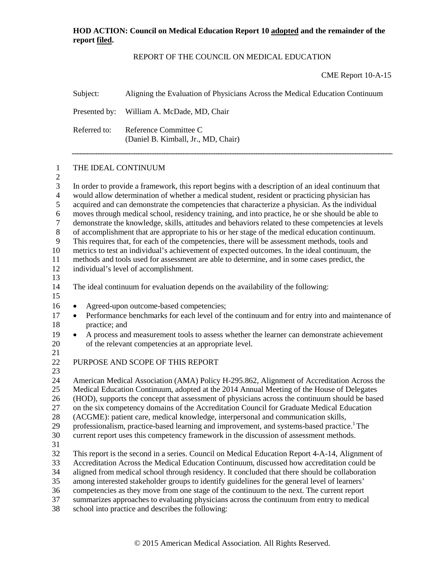## REPORT OF THE COUNCIL ON MEDICAL EDUCATION

CME Report 10-A-15

|                                                                                                          | Subject:                                                                                                                                                                                                                                                                                                                                                                                                                                                                                                                                                                                                                                                                                                                                                                                                                                                                                                                                                                                                                                      | Aligning the Evaluation of Physicians Across the Medical Education Continuum                                                                                                                                                                                                                                                                                                                                                                                                                                                                                                                                                                                                    |  |  |  |
|----------------------------------------------------------------------------------------------------------|-----------------------------------------------------------------------------------------------------------------------------------------------------------------------------------------------------------------------------------------------------------------------------------------------------------------------------------------------------------------------------------------------------------------------------------------------------------------------------------------------------------------------------------------------------------------------------------------------------------------------------------------------------------------------------------------------------------------------------------------------------------------------------------------------------------------------------------------------------------------------------------------------------------------------------------------------------------------------------------------------------------------------------------------------|---------------------------------------------------------------------------------------------------------------------------------------------------------------------------------------------------------------------------------------------------------------------------------------------------------------------------------------------------------------------------------------------------------------------------------------------------------------------------------------------------------------------------------------------------------------------------------------------------------------------------------------------------------------------------------|--|--|--|
|                                                                                                          | Presented by:                                                                                                                                                                                                                                                                                                                                                                                                                                                                                                                                                                                                                                                                                                                                                                                                                                                                                                                                                                                                                                 | William A. McDade, MD, Chair                                                                                                                                                                                                                                                                                                                                                                                                                                                                                                                                                                                                                                                    |  |  |  |
|                                                                                                          | Referred to:                                                                                                                                                                                                                                                                                                                                                                                                                                                                                                                                                                                                                                                                                                                                                                                                                                                                                                                                                                                                                                  | Reference Committee C<br>(Daniel B. Kimball, Jr., MD, Chair)                                                                                                                                                                                                                                                                                                                                                                                                                                                                                                                                                                                                                    |  |  |  |
| 1<br>$\mathbf{2}$                                                                                        | THE IDEAL CONTINUUM                                                                                                                                                                                                                                                                                                                                                                                                                                                                                                                                                                                                                                                                                                                                                                                                                                                                                                                                                                                                                           |                                                                                                                                                                                                                                                                                                                                                                                                                                                                                                                                                                                                                                                                                 |  |  |  |
| 3<br>$\overline{4}$<br>5<br>6<br>$\tau$<br>$\,8\,$<br>$\overline{9}$<br>10<br>11<br>12<br>13<br>14<br>15 | In order to provide a framework, this report begins with a description of an ideal continuum that<br>would allow determination of whether a medical student, resident or practicing physician has<br>acquired and can demonstrate the competencies that characterize a physician. As the individual<br>moves through medical school, residency training, and into practice, he or she should be able to<br>demonstrate the knowledge, skills, attitudes and behaviors related to these competencies at levels<br>of accomplishment that are appropriate to his or her stage of the medical education continuum.<br>This requires that, for each of the competencies, there will be assessment methods, tools and<br>metrics to test an individual's achievement of expected outcomes. In the ideal continuum, the<br>methods and tools used for assessment are able to determine, and in some cases predict, the<br>individual's level of accomplishment.<br>The ideal continuum for evaluation depends on the availability of the following: |                                                                                                                                                                                                                                                                                                                                                                                                                                                                                                                                                                                                                                                                                 |  |  |  |
| 16<br>17<br>18                                                                                           | $\bullet$<br>practice; and                                                                                                                                                                                                                                                                                                                                                                                                                                                                                                                                                                                                                                                                                                                                                                                                                                                                                                                                                                                                                    | Agreed-upon outcome-based competencies;<br>Performance benchmarks for each level of the continuum and for entry into and maintenance of                                                                                                                                                                                                                                                                                                                                                                                                                                                                                                                                         |  |  |  |
| 19<br>20                                                                                                 | $\bullet$                                                                                                                                                                                                                                                                                                                                                                                                                                                                                                                                                                                                                                                                                                                                                                                                                                                                                                                                                                                                                                     | A process and measurement tools to assess whether the learner can demonstrate achievement<br>of the relevant competencies at an appropriate level.                                                                                                                                                                                                                                                                                                                                                                                                                                                                                                                              |  |  |  |
| 21<br>22<br>23                                                                                           |                                                                                                                                                                                                                                                                                                                                                                                                                                                                                                                                                                                                                                                                                                                                                                                                                                                                                                                                                                                                                                               | PURPOSE AND SCOPE OF THIS REPORT                                                                                                                                                                                                                                                                                                                                                                                                                                                                                                                                                                                                                                                |  |  |  |
| 24<br>25<br>26<br>27<br>28<br>29<br>30<br>31                                                             |                                                                                                                                                                                                                                                                                                                                                                                                                                                                                                                                                                                                                                                                                                                                                                                                                                                                                                                                                                                                                                               | American Medical Association (AMA) Policy H-295.862, Alignment of Accreditation Across the<br>Medical Education Continuum, adopted at the 2014 Annual Meeting of the House of Delegates<br>(HOD), supports the concept that assessment of physicians across the continuum should be based<br>on the six competency domains of the Accreditation Council for Graduate Medical Education<br>(ACGME): patient care, medical knowledge, interpersonal and communication skills,<br>professionalism, practice-based learning and improvement, and systems-based practice. <sup>1</sup> The<br>current report uses this competency framework in the discussion of assessment methods. |  |  |  |
| 32<br>33<br>34<br>35<br>36<br>37<br>38                                                                   |                                                                                                                                                                                                                                                                                                                                                                                                                                                                                                                                                                                                                                                                                                                                                                                                                                                                                                                                                                                                                                               | This report is the second in a series. Council on Medical Education Report 4-A-14, Alignment of<br>Accreditation Across the Medical Education Continuum, discussed how accreditation could be<br>aligned from medical school through residency. It concluded that there should be collaboration<br>among interested stakeholder groups to identify guidelines for the general level of learners'<br>competencies as they move from one stage of the continuum to the next. The current report<br>summarizes approaches to evaluating physicians across the continuum from entry to medical<br>school into practice and describes the following:                                 |  |  |  |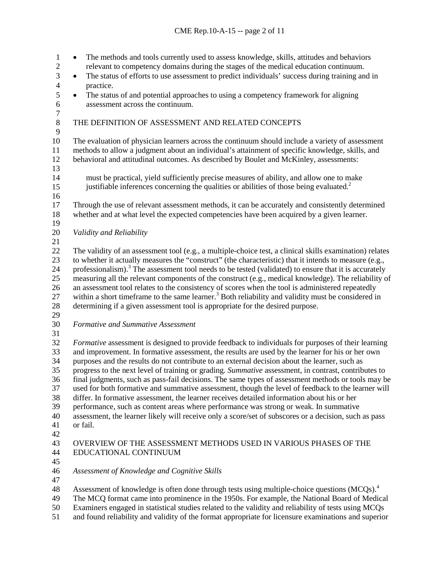• The methods and tools currently used to assess knowledge, skills, attitudes and behaviors relevant to competency domains during the stages of the medical education continuum. <sup>3</sup> • The status of efforts to use assessment to predict individuals' success during training and in practice. practice. 5 • The status of and potential approaches to using a competency framework for aligning assessment across the continuum. assessment across the continuum.  $\frac{7}{8}$ THE DEFINITION OF ASSESSMENT AND RELATED CONCEPTS The evaluation of physician learners across the continuum should include a variety of assessment methods to allow a judgment about an individual's attainment of specific knowledge, skills, and behavioral and attitudinal outcomes. As described by Boulet and McKinley, assessments: must be practical, yield sufficiently precise measures of ability, and allow one to make justifiable inferences concerning the qualities or abilities of those being evaluated.2 Through the use of relevant assessment methods, it can be accurately and consistently determined whether and at what level the expected competencies have been acquired by a given learner. *Validity and Reliability* The validity of an assessment tool (e.g., a multiple-choice test, a clinical skills examination) relates to whether it actually measures the "construct" (the characteristic) that it intends to measure (e.g., 24 professionalism).<sup>3</sup> The assessment tool needs to be tested (validated) to ensure that it is accurately measuring all the relevant components of the construct (e.g., medical knowledge). The reliability of an assessment tool relates to the consistency of scores when the tool is administered repeatedly 27 within a short timeframe to the same learner.<sup>3</sup> Both reliability and validity must be considered in determining if a given assessment tool is appropriate for the desired purpose. *Formative and Summative Assessment Formative* assessment is designed to provide feedback to individuals for purposes of their learning and improvement. In formative assessment, the results are used by the learner for his or her own purposes and the results do not contribute to an external decision about the learner, such as progress to the next level of training or grading. *Summative* assessment, in contrast, contributes to final judgments, such as pass-fail decisions. The same types of assessment methods or tools may be used for both formative and summative assessment, though the level of feedback to the learner will differ. In formative assessment, the learner receives detailed information about his or her performance, such as content areas where performance was strong or weak. In summative assessment, the learner likely will receive only a score/set of subscores or a decision, such as pass or fail. OVERVIEW OF THE ASSESSMENT METHODS USED IN VARIOUS PHASES OF THE EDUCATIONAL CONTINUUM *Assessment of Knowledge and Cognitive Skills* 48 Assessment of knowledge is often done through tests using multiple-choice questions (MCQs).<sup>4</sup> The MCQ format came into prominence in the 1950s. For example, the National Board of Medical Examiners engaged in statistical studies related to the validity and reliability of tests using MCQs

and found reliability and validity of the format appropriate for licensure examinations and superior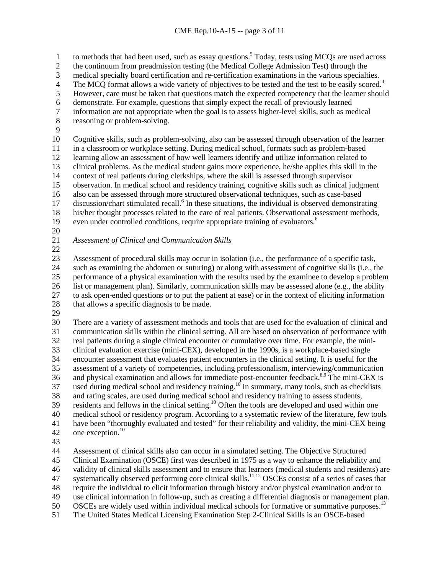1 to methods that had been used, such as essay questions.<sup>5</sup> Today, tests using MCQs are used across

- the continuum from preadmission testing (the Medical College Admission Test) through the
- medical specialty board certification and re-certification examinations in the various specialties.
- The MCQ format allows a wide variety of objectives to be tested and the test to be easily scored.<sup>4</sup><br>5 However, care must be taken that questions match the expected competency that the learner shoul However, care must be taken that questions match the expected competency that the learner should
- 
- 6 demonstrate. For example, questions that simply expect the recall of previously learned<br>
7 information are not appropriate when the goal is to assess higher-level skills, such as me information are not appropriate when the goal is to assess higher-level skills, such as medical
- reasoning or problem-solving.
- 

 Cognitive skills, such as problem-solving, also can be assessed through observation of the learner in a classroom or workplace setting. During medical school, formats such as problem-based learning allow an assessment of how well learners identify and utilize information related to 13 clinical problems. As the medical student gains more experience, he/she applies this skill in the context of real patients during clerkships, where the skill is assessed through supervisor context of real patients during clerkships, where the skill is assessed through supervisor observation. In medical school and residency training, cognitive skills such as clinical judgment also can be assessed through more structured observational techniques, such as case-based 17 discussion/chart stimulated recall.<sup>6</sup> In these situations, the individual is observed demonstrating his/her thought processes related to the care of real patients. Observational assessment methods,

- 19 even under controlled conditions, require appropriate training of evaluators.<sup>6</sup>
- 

*Assessment of Clinical and Communication Skills*

 Assessment of procedural skills may occur in isolation (i.e., the performance of a specific task, such as examining the abdomen or suturing) or along with assessment of cognitive skills (i.e., the performance of a physical examination with the results used by the examinee to develop a problem list or management plan). Similarly, communication skills may be assessed alone (e.g., the ability to ask open-ended questions or to put the patient at ease) or in the context of eliciting information that allows a specific diagnosis to be made.

 There are a variety of assessment methods and tools that are used for the evaluation of clinical and communication skills within the clinical setting. All are based on observation of performance with real patients during a single clinical encounter or cumulative over time. For example, the mini- clinical evaluation exercise (mini-CEX), developed in the 1990s, is a workplace-based single encounter assessment that evaluates patient encounters in the clinical setting. It is useful for the assessment of a variety of competencies, including professionalism, interviewing/communication 36 and physical examination and allows for immediate post-encounter feedback.<sup>8,9</sup> The mini-CEX is 37 used during medical school and residency training.<sup>10</sup> In summary, many tools, such as checklists and rating scales, are used during medical school and residency training to assess students, 39 residents and fellows in the clinical setting.<sup>10</sup> Often the tools are developed and used within one medical school or residency program. According to a systematic review of the literature, few tools have been "thoroughly evaluated and tested" for their reliability and validity, the mini-CEX being 42 one exception.

Assessment of clinical skills also can occur in a simulated setting. The Objective Structured

Clinical Examination (OSCE) first was described in 1975 as a way to enhance the reliability and

validity of clinical skills assessment and to ensure that learners (medical students and residents) are

47 systematically observed performing core clinical skills.<sup>11,12</sup> OSCEs consist of a series of cases that

- require the individual to elicit information through history and/or physical examination and/or to
- use clinical information in follow-up, such as creating a differential diagnosis or management plan.
- 50 OSCEs are widely used within individual medical schools for formative or summative purposes.<sup>13</sup>

The United States Medical Licensing Examination Step 2-Clinical Skills is an OSCE-based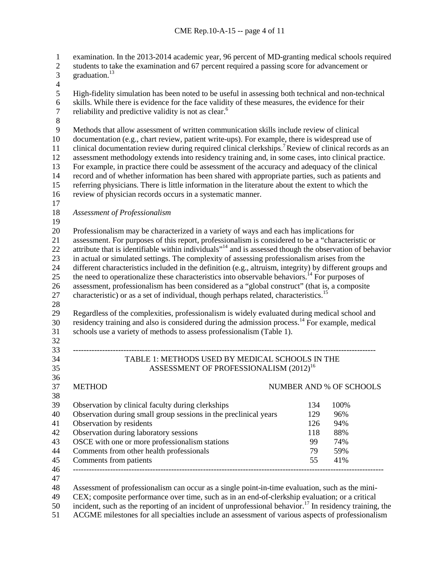examination. In the 2013-2014 academic year, 96 percent of MD-granting medical schools required

- 2 students to take the examination and 67 percent required a passing score for advancement or 3 graduation.
- 
- 
- $\frac{4}{5}$ High-fidelity simulation has been noted to be useful in assessing both technical and non-technical
- 6 skills. While there is evidence for the face validity of these measures, the evidence for their reliability and predictive validity is not as clear.<sup>6</sup>
- 7 reliability and predictive validity is not as clear.<sup>6</sup>
- 

 Methods that allow assessment of written communication skills include review of clinical documentation (e.g., chart review, patient write-ups). For example, there is widespread use of 11 clinical documentation review during required clinical clerkships.<sup>7</sup> Review of clinical records as an assessment methodology extends into residency training and, in some cases, into clinical practice. 13 For example, in practice there could be assessment of the accuracy and adequacy of the clinical<br>14 record and of whether information has been shared with appropriate parties, such as patients and record and of whether information has been shared with appropriate parties, such as patients and referring physicians. There is little information in the literature about the extent to which the review of physician records occurs in a systematic manner.

- 
- *Assessment of Professionalism*
- 

 Professionalism may be characterized in a variety of ways and each has implications for assessment. For purposes of this report, professionalism is considered to be a "characteristic or 22 attribute that is identifiable within individuals"<sup>14</sup> and is assessed though the observation of behavior in actual or simulated settings. The complexity of assessing professionalism arises from the different characteristics included in the definition (e.g., altruism, integrity) by different groups and 25 the need to operationalize these characteristics into observable behaviors.<sup>14</sup> For purposes of assessment, professionalism has been considered as a "global construct" (that is, a composite 27 characteristic) or as a set of individual, though perhaps related, characteristics.<sup>15</sup>

 Regardless of the complexities, professionalism is widely evaluated during medical school and 30 residency training and also is considered during the admission process.<sup>14</sup> For example, medical schools use a variety of methods to assess professionalism (Table 1).

### ------------------------------------------------------------------------------------------------------------------ TABLE 1: METHODS USED BY MEDICAL SCHOOLS IN THE 35 ASSESSMENT OF PROFESSIONALISM (2012)<sup>16</sup>

# 

# 37 METHOD NUMBER AND % OF SCHOOLS

| JU. |                                                                  |     |      |  |
|-----|------------------------------------------------------------------|-----|------|--|
| 39  | Observation by clinical faculty during clerkships                | 134 | 100% |  |
| 40  | Observation during small group sessions in the preclinical years | 129 | 96%  |  |
| 41  | Observation by residents                                         | 126 | 94%  |  |
| 42  | Observation during laboratory sessions                           | 118 | 88%  |  |
| 43  | OSCE with one or more professionalism stations                   | 99  | 74%  |  |
| 44  | Comments from other health professionals                         | 79  | 59%  |  |
| 45  | Comments from patients                                           | 55  | 41%  |  |
| 46  |                                                                  |     |      |  |
|     |                                                                  |     |      |  |

Assessment of professionalism can occur as a single point-in-time evaluation, such as the mini-

CEX; composite performance over time, such as in an end-of-clerkship evaluation; or a critical

50 incident, such as the reporting of an incident of unprofessional behavior.<sup>17</sup> In residency training, the

ACGME milestones for all specialties include an assessment of various aspects of professionalism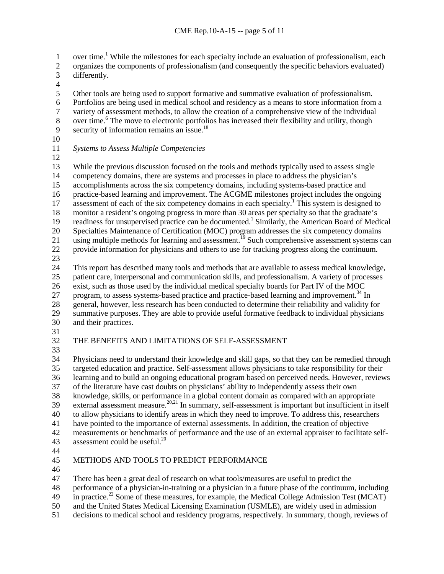1 over time.<sup>1</sup> While the milestones for each specialty include an evaluation of professionalism, each

- organizes the components of professionalism (and consequently the specific behaviors evaluated) differently.
- $\frac{4}{5}$

Other tools are being used to support formative and summative evaluation of professionalism.

- 6 Portfolios are being used in medical school and residency as a means to store information from a<br>7 variety of assessment methods, to allow the creation of a comprehensive view of the individual
- 7 variety of assessment methods, to allow the creation of a comprehensive view of the individual<br>8 over time. <sup>6</sup> The move to electronic portfolios has increased their flexibility and utility, though over time.<sup>6</sup> The move to electronic portfolios has increased their flexibility and utility, though
- 9 security of information remains an issue.<sup>18</sup>
- 
- *Systems to Assess Multiple Competencies*
- 

13 While the previous discussion focused on the tools and methods typically used to assess single<br>14 competency domains, there are systems and processes in place to address the physician's competency domains, there are systems and processes in place to address the physician's accomplishments across the six competency domains, including systems-based practice and practice-based learning and improvement. The ACGME milestones project includes the ongoing 17 assessment of each of the six competency domains in each specialty.<sup>1</sup> This system is designed to monitor a resident's ongoing progress in more than 30 areas per specialty so that the graduate's 19 readiness for unsupervised practice can be documented.<sup>1</sup> Similarly, the American Board of Medical Specialties Maintenance of Certification (MOC) program addresses the six competency domains 21 using multiple methods for learning and assessment.<sup>19</sup> Such comprehensive assessment systems can provide information for physicians and others to use for tracking progress along the continuum. 

 This report has described many tools and methods that are available to assess medical knowledge, patient care, interpersonal and communication skills, and professionalism. A variety of processes exist, such as those used by the individual medical specialty boards for Part IV of the MOC 27 program, to assess systems-based practice and practice-based learning and improvement.<sup>34</sup> In

28 general, however, less research has been conducted to determine their reliability and validity for<br>29 summative purposes. They are able to provide useful formative feedback to individual physicians

- summative purposes. They are able to provide useful formative feedback to individual physicians and their practices.
- 

# THE BENEFITS AND LIMITATIONS OF SELF-ASSESSMENT

 Physicians need to understand their knowledge and skill gaps, so that they can be remedied through targeted education and practice. Self-assessment allows physicians to take responsibility for their learning and to build an ongoing educational program based on perceived needs. However, reviews of the literature have cast doubts on physicians' ability to independently assess their own knowledge, skills, or performance in a global content domain as compared with an appropriate 39 external assessment measure.<sup>20,21</sup> In summary, self-assessment is important but insufficient in itself to allow physicians to identify areas in which they need to improve. To address this, researchers have pointed to the importance of external assessments. In addition, the creation of objective measurements or benchmarks of performance and the use of an external appraiser to facilitate self-43 assessment could be useful.<sup>20</sup>

# METHODS AND TOOLS TO PREDICT PERFORMANCE

There has been a great deal of research on what tools/measures are useful to predict the

- performance of a physician-in-training or a physician in a future phase of the continuum, including
- 49 in practice.<sup>22</sup> Some of these measures, for example, the Medical College Admission Test (MCAT)
- and the United States Medical Licensing Examination (USMLE), are widely used in admission
- decisions to medical school and residency programs, respectively. In summary, though, reviews of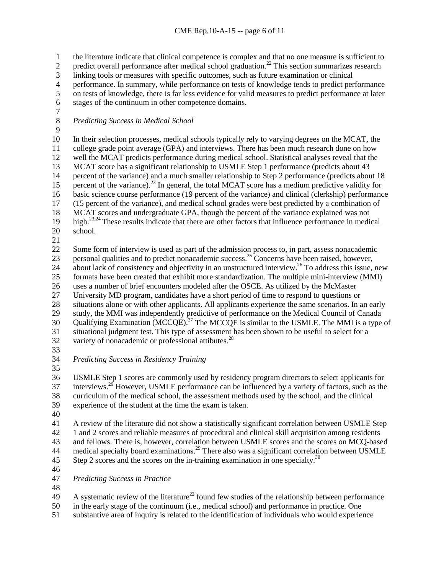the literature indicate that clinical competence is complex and that no one measure is sufficient to

predict overall performance after medical school graduation.<sup>22</sup> This section summarizes research

linking tools or measures with specific outcomes, such as future examination or clinical

4 performance. In summary, while performance on tests of knowledge tends to predict performance<br>5 on tests of knowledge, there is far less evidence for valid measures to predict performance at later

on tests of knowledge, there is far less evidence for valid measures to predict performance at later

- stages of the continuum in other competence domains.
- $\frac{7}{8}$

*Predicting Success in Medical School*

 In their selection processes, medical schools typically rely to varying degrees on the MCAT, the college grade point average (GPA) and interviews. There has been much research done on how well the MCAT predicts performance during medical school. Statistical analyses reveal that the 13 MCAT score has a significant relationship to USMLE Step 1 performance (predicts about 43 percent of the variance) and a much smaller relationship to Step 2 performance (predicts about percent of the variance) and a much smaller relationship to Step 2 performance (predicts about 18 15 percent of the variance).<sup>23</sup> In general, the total MCAT score has a medium predictive validity for basic science course performance (19 percent of the variance) and clinical (clerkship) performance (15 percent of the variance), and medical school grades were best predicted by a combination of MCAT scores and undergraduate GPA, though the percent of the variance explained was not 19 high.<sup>23,24</sup> These results indicate that there are other factors that influence performance in medical

- school.
- 

 Some form of interview is used as part of the admission process to, in part, assess nonacademic 23 personal qualities and to predict nonacademic success.<sup>25</sup> Concerns have been raised, however, 24 about lack of consistency and objectivity in an unstructured interview.<sup>26</sup> To address this issue, new formats have been created that exhibit more standardization. The multiple mini-interview (MMI) uses a number of brief encounters modeled after the OSCE. As utilized by the McMaster University MD program, candidates have a short period of time to respond to questions or 28 situations alone or with other applicants. All applicants experience the same scenarios. In an early<br>29 study, the MMI was independently predictive of performance on the Medical Council of Canada study, the MMI was independently predictive of performance on the Medical Council of Canada 30 Qualifying Examination (MCCQE).<sup>27</sup> The MCCQE is similar to the USMLE. The MMI is a type of

 situational judgment test. This type of assessment has been shown to be useful to select for a 32 variety of nonacademic or professional attibutes.

*Predicting Success in Residency Training*

 USMLE Step 1 scores are commonly used by residency program directors to select applicants for interviews.<sup>29</sup> However, USMLE performance can be influenced by a variety of factors, such as the curriculum of the medical school, the assessment methods used by the school, and the clinical experience of the student at the time the exam is taken.

 A review of the literature did not show a statistically significant correlation between USMLE Step 1 and 2 scores and reliable measures of procedural and clinical skill acquisition among residents and fellows. There is, however, correlation between USMLE scores and the scores on MCQ-based 44 medical specialty board examinations.<sup>29</sup> There also was a significant correlation between USMLE Step 2 scores and the scores on the in-training examination in one specialty.<sup>30</sup>

*Predicting Success in Practice*

A systematic review of the literature<sup>22</sup> found few studies of the relationship between performance

in the early stage of the continuum (i.e., medical school) and performance in practice. One

substantive area of inquiry is related to the identification of individuals who would experience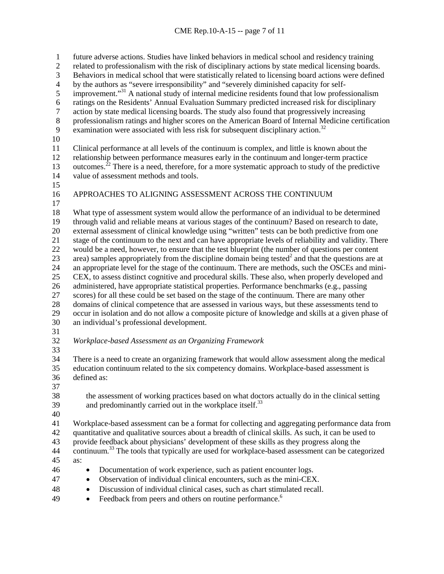future adverse actions. Studies have linked behaviors in medical school and residency training related to professionalism with the risk of disciplinary actions by state medical licensing boards. 3 Behaviors in medical school that were statistically related to licensing board actions were defined<br>4 by the authors as "severe irresponsibility" and "severely diminished capacity for self-4 by the authors as "severe irresponsibility" and "severely diminished capacity for self-<br>5 improvement."<sup>31</sup> A national study of internal medicine residents found that low profes improvement. $^{31}$  A national study of internal medicine residents found that low professionalism 6 ratings on the Residents' Annual Evaluation Summary predicted increased risk for disciplinary<br>
2 action by state medical licensing boards. The study also found that progressively increasing action by state medical licensing boards. The study also found that progressively increasing professionalism ratings and higher scores on the American Board of Internal Medicine certification 9 examination were associated with less risk for subsequent disciplinary action.<sup>32</sup> Clinical performance at all levels of the continuum is complex, and little is known about the relationship between performance measures early in the continuum and longer-term practice 13 outcomes.<sup>22</sup> There is a need, therefore, for a more systematic approach to study of the predictive value of assessment methods and tools. APPROACHES TO ALIGNING ASSESSMENT ACROSS THE CONTINUUM What type of assessment system would allow the performance of an individual to be determined through valid and reliable means at various stages of the continuum? Based on research to date, external assessment of clinical knowledge using "written" tests can be both predictive from one stage of the continuum to the next and can have appropriate levels of reliability and validity. There would be a need, however, to ensure that the test blueprint (the number of questions per content 23 area) samples appropriately from the discipline domain being tested<sup>2</sup> and that the questions are at an appropriate level for the stage of the continuum. There are methods, such the OSCEs and mini- CEX, to assess distinct cognitive and procedural skills. These also, when properly developed and administered, have appropriate statistical properties. Performance benchmarks (e.g., passing scores) for all these could be set based on the stage of the continuum. There are many other 28 domains of clinical competence that are assessed in various ways, but these assessments tend to<br>29 occur in isolation and do not allow a composite picture of knowledge and skills at a given phase occur in isolation and do not allow a composite picture of knowledge and skills at a given phase of an individual's professional development. *Workplace-based Assessment as an Organizing Framework* There is a need to create an organizing framework that would allow assessment along the medical education continuum related to the six competency domains. Workplace-based assessment is defined as: the assessment of working practices based on what doctors actually do in the clinical setting and predominantly carried out in the workplace itself.<sup>33</sup> Workplace-based assessment can be a format for collecting and aggregating performance data from quantitative and qualitative sources about a breadth of clinical skills. As such, it can be used to provide feedback about physicians' development of these skills as they progress along the 44 continuum.<sup>33</sup> The tools that typically are used for workplace-based assessment can be categorized as: • Documentation of work experience, such as patient encounter logs. • Observation of individual clinical encounters, such as the mini-CEX. • Discussion of individual clinical cases, such as chart stimulated recall. <sup>49</sup> • Feedback from peers and others on routine performance.<sup>6</sup>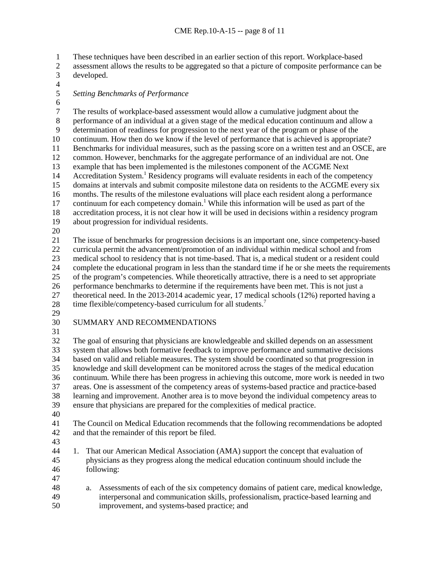These techniques have been described in an earlier section of this report. Workplace-based

- assessment allows the results to be aggregated so that a picture of composite performance can be developed.
- $\frac{4}{5}$

### *Setting Benchmarks of Performance*

6<br>7 The results of workplace-based assessment would allow a cumulative judgment about the performance of an individual at a given stage of the medical education continuum and allo performance of an individual at a given stage of the medical education continuum and allow a determination of readiness for progression to the next year of the program or phase of the continuum. How then do we know if the level of performance that is achieved is appropriate? Benchmarks for individual measures, such as the passing score on a written test and an OSCE, are common. However, benchmarks for the aggregate performance of an individual are not. One 13 example that has been implemented is the milestones component of the ACGME Next<br>14 Accreditation System.<sup>1</sup> Residency programs will evaluate residents in each of the comp Accreditation System.<sup>1</sup> Residency programs will evaluate residents in each of the competency domains at intervals and submit composite milestone data on residents to the ACGME every six months. The results of the milestone evaluations will place each resident along a performance 17 continuum for each competency domain.<sup>1</sup> While this information will be used as part of the accreditation process, it is not clear how it will be used in decisions within a residency program about progression for individual residents.

 The issue of benchmarks for progression decisions is an important one, since competency-based curricula permit the advancement/promotion of an individual within medical school and from medical school to residency that is not time-based. That is, a medical student or a resident could complete the educational program in less than the standard time if he or she meets the requirements of the program's competencies. While theoretically attractive, there is a need to set appropriate performance benchmarks to determine if the requirements have been met. This is not just a theoretical need. In the 2013-2014 academic year, 17 medical schools (12%) reported having a 28 time flexible/competency-based curriculum for all students.<sup>7</sup>

- 
- 

## SUMMARY AND RECOMMENDATIONS

 The goal of ensuring that physicians are knowledgeable and skilled depends on an assessment system that allows both formative feedback to improve performance and summative decisions based on valid and reliable measures. The system should be coordinated so that progression in knowledge and skill development can be monitored across the stages of the medical education continuum. While there has been progress in achieving this outcome, more work is needed in two areas. One is assessment of the competency areas of systems-based practice and practice-based learning and improvement. Another area is to move beyond the individual competency areas to ensure that physicians are prepared for the complexities of medical practice. The Council on Medical Education recommends that the following recommendations be adopted

- and that the remainder of this report be filed.
- 

 1. That our American Medical Association (AMA) support the concept that evaluation of physicians as they progress along the medical education continuum should include the following:

- 
- a. Assessments of each of the six competency domains of patient care, medical knowledge, interpersonal and communication skills, professionalism, practice-based learning and improvement, and systems-based practice; and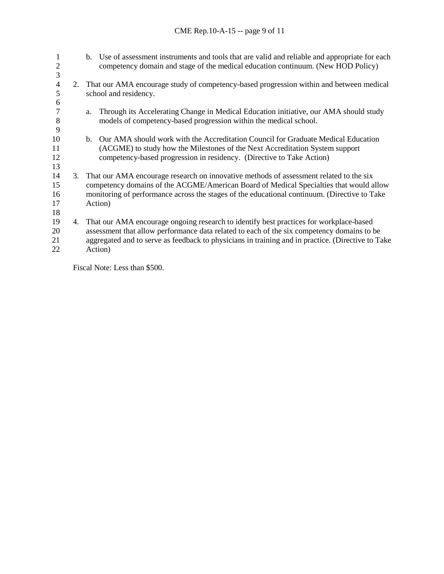| 1<br>2<br>3 |    |                                                                                            | b. Use of assessment instruments and tools that are valid and reliable and appropriate for each<br>competency domain and stage of the medical education continuum. (New HOD Policy)    |
|-------------|----|--------------------------------------------------------------------------------------------|----------------------------------------------------------------------------------------------------------------------------------------------------------------------------------------|
| 4           |    | 2. That our AMA encourage study of competency-based progression within and between medical |                                                                                                                                                                                        |
| 5           |    | school and residency.                                                                      |                                                                                                                                                                                        |
| 6           |    |                                                                                            |                                                                                                                                                                                        |
|             |    | a.                                                                                         | Through its Accelerating Change in Medical Education initiative, our AMA should study                                                                                                  |
| 8           |    |                                                                                            | models of competency-based progression within the medical school.                                                                                                                      |
| 9           |    |                                                                                            |                                                                                                                                                                                        |
| 10          |    | $b_{\cdot}$                                                                                | Our AMA should work with the Accreditation Council for Graduate Medical Education                                                                                                      |
| 11          |    |                                                                                            | (ACGME) to study how the Milestones of the Next Accreditation System support                                                                                                           |
| 12          |    |                                                                                            | competency-based progression in residency. (Directive to Take Action)                                                                                                                  |
| 13          |    |                                                                                            |                                                                                                                                                                                        |
| 14<br>15    |    | 3. That our AMA encourage research on innovative methods of assessment related to the six  |                                                                                                                                                                                        |
| 16          |    |                                                                                            | competency domains of the ACGME/American Board of Medical Specialties that would allow<br>monitoring of performance across the stages of the educational continuum. (Directive to Take |
| 17          |    | Action)                                                                                    |                                                                                                                                                                                        |
| 18          |    |                                                                                            |                                                                                                                                                                                        |
| 19          | 4. |                                                                                            | That our AMA encourage ongoing research to identify best practices for workplace-based                                                                                                 |
| 20          |    |                                                                                            | assessment that allow performance data related to each of the six competency domains to be                                                                                             |
| 21          |    |                                                                                            | aggregated and to serve as feedback to physicians in training and in practice. (Directive to Take                                                                                      |
| 22          |    |                                                                                            | Action)                                                                                                                                                                                |

Fiscal Note: Less than \$500.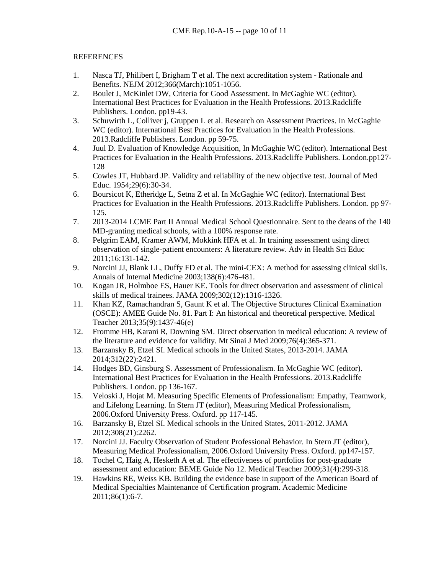## **REFERENCES**

- 1. Nasca TJ, Philibert I, Brigham T et al. The next accreditation system Rationale and Benefits. NEJM 2012;366(March):1051-1056.
- 2. Boulet J, McKinlet DW, Criteria for Good Assessment. In McGaghie WC (editor). International Best Practices for Evaluation in the Health Professions. 2013.Radcliffe Publishers. London. pp19-43.
- 3. Schuwirth L, Colliver j, Gruppen L et al. Research on Assessment Practices. In McGaghie WC (editor). International Best Practices for Evaluation in the Health Professions. 2013.Radcliffe Publishers. London. pp 59-75.
- 4. Juul D. Evaluation of Knowledge Acquisition, In McGaghie WC (editor). International Best Practices for Evaluation in the Health Professions. 2013.Radcliffe Publishers. London.pp127- 128
- 5. Cowles JT, Hubbard JP. Validity and reliability of the new objective test. Journal of Med Educ. 1954;29(6):30-34.
- 6. Boursicot K, Etheridge L, Setna Z et al. In McGaghie WC (editor). International Best Practices for Evaluation in the Health Professions. 2013.Radcliffe Publishers. London. pp 97- 125.
- 7. 2013-2014 LCME Part II Annual Medical School Questionnaire. Sent to the deans of the 140 MD-granting medical schools, with a 100% response rate.
- 8. Pelgrim EAM, Kramer AWM, Mokkink HFA et al. In training assessment using direct observation of single-patient encounters: A literature review. Adv in Health Sci Educ 2011;16:131-142.
- 9. Norcini JJ, Blank LL, Duffy FD et al. The mini-CEX: A method for assessing clinical skills. Annals of Internal Medicine 2003;138(6):476-481.
- 10. Kogan JR, Holmboe ES, Hauer KE. Tools for direct observation and assessment of clinical skills of medical trainees. JAMA 2009;302(12):1316-1326.
- 11. Khan KZ, Ramachandran S, Gaunt K et al. The Objective Structures Clinical Examination (OSCE): AMEE Guide No. 81. Part I: An historical and theoretical perspective. Medical Teacher 2013;35(9):1437-46(e)
- 12. Fromme HB, Karani R, Downing SM. Direct observation in medical education: A review of the literature and evidence for validity. Mt Sinai J Med 2009;76(4):365-371.
- 13. Barzansky B, Etzel SI. Medical schools in the United States, 2013-2014. JAMA 2014;312(22):2421.
- 14. Hodges BD, Ginsburg S. Assessment of Professionalism. In McGaghie WC (editor). International Best Practices for Evaluation in the Health Professions. 2013.Radcliffe Publishers. London. pp 136-167.
- 15. Veloski J, Hojat M. Measuring Specific Elements of Professionalism: Empathy, Teamwork, and Lifelong Learning. In Stern JT (editor), Measuring Medical Professionalism, 2006.Oxford University Press. Oxford. pp 117-145.
- 16. Barzansky B, Etzel SI. Medical schools in the United States, 2011-2012. JAMA 2012;308(21):2262.
- 17. Norcini JJ. Faculty Observation of Student Professional Behavior. In Stern JT (editor), Measuring Medical Professionalism, 2006.Oxford University Press. Oxford. pp147-157.
- 18. Tochel C, Haig A, Hesketh A et al. The effectiveness of portfolios for post-graduate assessment and education: BEME Guide No 12. Medical Teacher 2009;31(4):299-318.
- 19. Hawkins RE, Weiss KB. Building the evidence base in support of the American Board of Medical Specialties Maintenance of Certification program. Academic Medicine 2011;86(1):6-7.